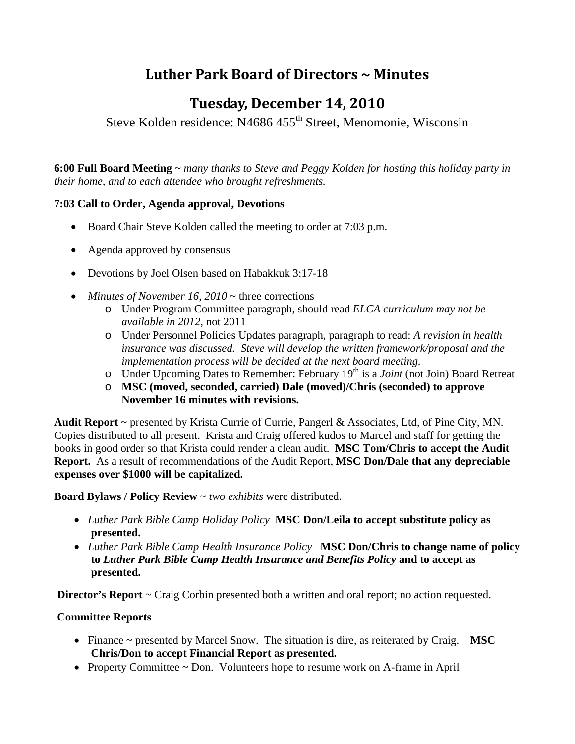# **Luther Park Board of Directors ~ Minutes**

## **Tuesday, December 14, 2010**

Steve Kolden residence: N4686 455<sup>th</sup> Street, Menomonie, Wisconsin

**6:00 Full Board Meeting** *~ many thanks to Steve and Peggy Kolden for hosting this holiday party in their home, and to each attendee who brought refreshments.* 

## **7:03 Call to Order, Agenda approval, Devotions**

- Board Chair Steve Kolden called the meeting to order at 7:03 p.m.
- Agenda approved by consensus
- Devotions by Joel Olsen based on Habakkuk 3:17-18
- *Minutes of November 16, 2010* ~ three corrections
	- o Under Program Committee paragraph, should read *ELCA curriculum may not be available in 2012,* not 2011
	- o Under Personnel Policies Updates paragraph, paragraph to read: *A revision in health insurance was discussed. Steve will develop the written framework/proposal and the implementation process will be decided at the next board meeting.*
	- o Under Upcoming Dates to Remember: February 19<sup>th</sup> is a *Joint* (not Join) Board Retreat
	- o **MSC (moved, seconded, carried) Dale (moved)/Chris (seconded) to approve November 16 minutes with revisions.**

**Audit Report** ~ presented by Krista Currie of Currie, Pangerl & Associates, Ltd, of Pine City, MN. Copies distributed to all present. Krista and Craig offered kudos to Marcel and staff for getting the books in good order so that Krista could render a clean audit. **MSC Tom/Chris to accept the Audit Report.** As a result of recommendations of the Audit Report, **MSC Don/Dale that any depreciable expenses over \$1000 will be capitalized.** 

**Board Bylaws / Policy Review** ~ *two exhibits* were distributed.

- *Luther Park Bible Camp Holiday Policy* **MSC Don/Leila to accept substitute policy as presented.**
- *Luther Park Bible Camp Health Insurance Policy* **MSC Don/Chris to change name of policy to** *Luther Park Bible Camp Health Insurance and Benefits Policy* **and to accept as presented.**

**Director's Report** ~ Craig Corbin presented both a written and oral report; no action requested.

## **Committee Reports**

- Finance ~ presented by Marcel Snow. The situation is dire, as reiterated by Craig. **MSC Chris/Don to accept Financial Report as presented.**
- Property Committee  $\sim$  Don. Volunteers hope to resume work on A-frame in April